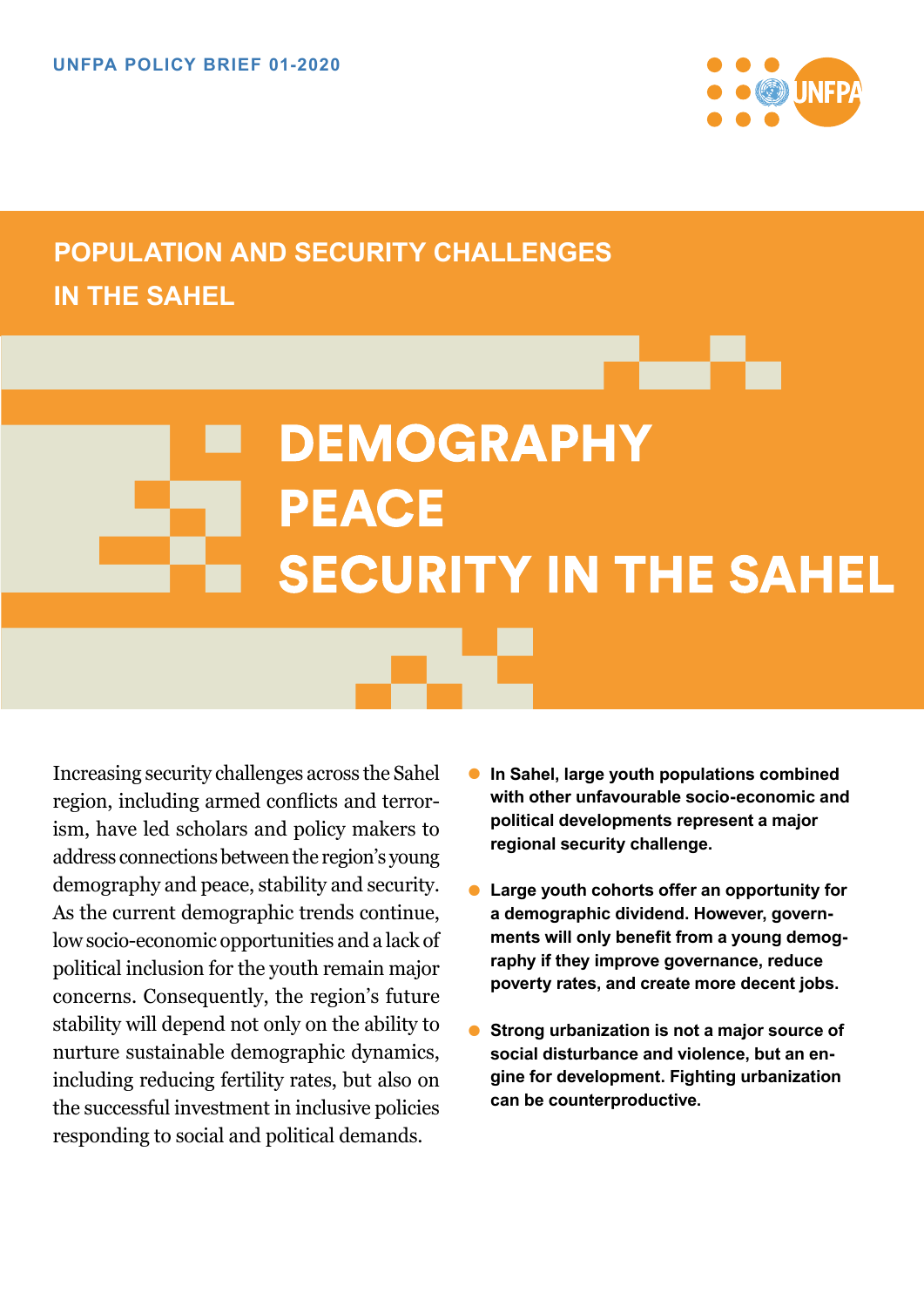

# **POPULATION AND SECURITY CHALLENGES IN THE SAHEL**

# **DEMOGRAPHY PEACE SECURITY IN THE SAHEL**

Increasing security challenges across the Sahel region, including armed conflicts and terrorism, have led scholars and policy makers to address connections between the region's young demography and peace, stability and security. As the current demographic trends continue, low socio-economic opportunities and a lack of political inclusion for the youth remain major concerns. Consequently, the region's future stability will depend not only on the ability to nurture sustainable demographic dynamics, including reducing fertility rates, but also on the successful investment in inclusive policies responding to social and political demands.

- **• In Sahel, large youth populations combined with other unfavourable socio-economic and political developments represent a major regional security challenge.**
- **• Large youth cohorts offer an opportunity for a demographic dividend. However, governments will only benefit from a young demography if they improve governance, reduce poverty rates, and create more decent jobs.**
- **• Strong urbanization is not a major source of social disturbance and violence, but an engine for development. Fighting urbanization can be counterproductive.**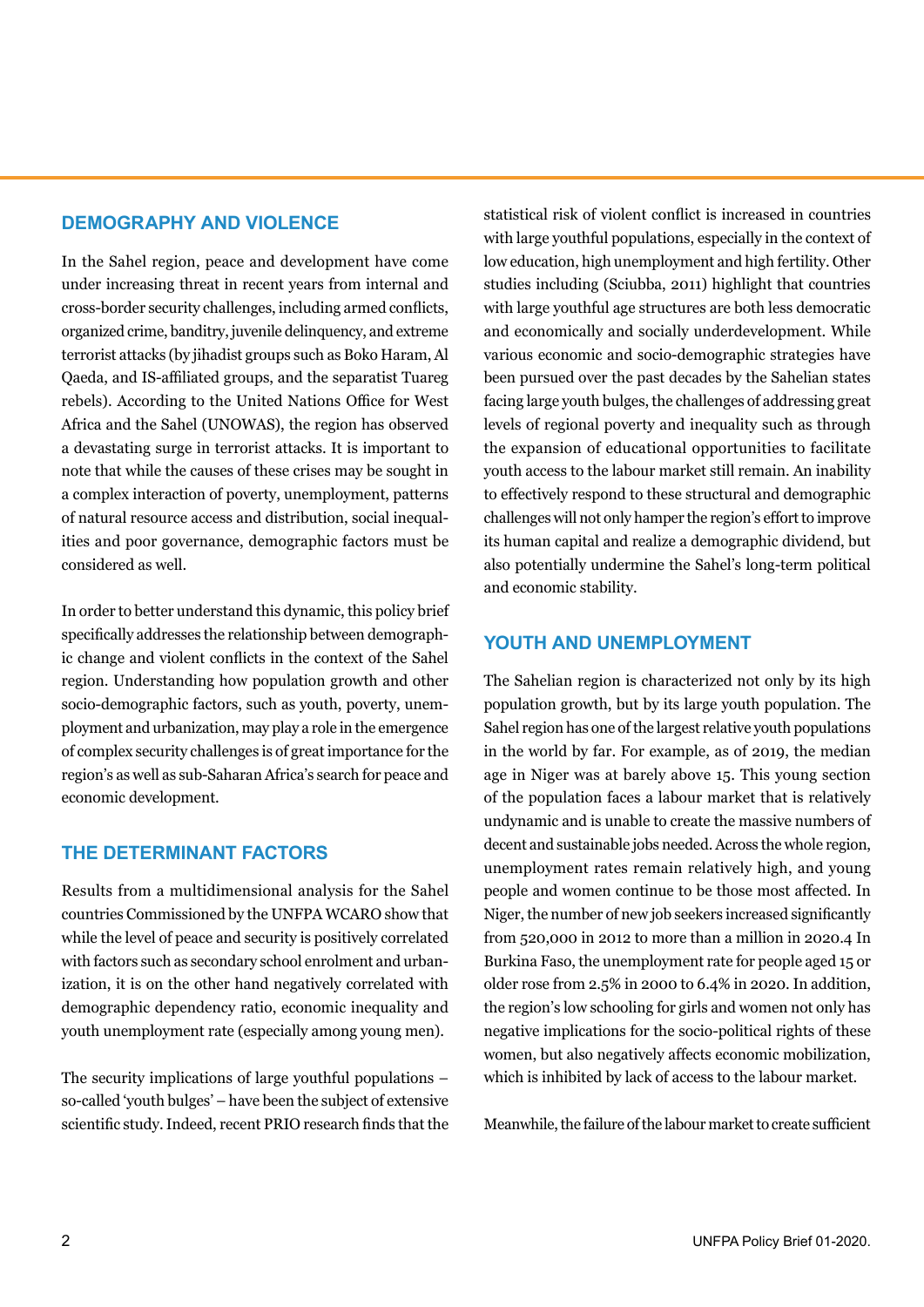# **DEMOGRAPHY AND VIOLENCE**

In the Sahel region, peace and development have come under increasing threat in recent years from internal and cross-border security challenges, including armed conflicts, organized crime, banditry, juvenile delinquency, and extreme terrorist attacks (by jihadist groups such as Boko Haram, Al Qaeda, and IS-affiliated groups, and the separatist Tuareg rebels). According to the United Nations Office for West Africa and the Sahel (UNOWAS), the region has observed a devastating surge in terrorist attacks. It is important to note that while the causes of these crises may be sought in a complex interaction of poverty, unemployment, patterns of natural resource access and distribution, social inequalities and poor governance, demographic factors must be considered as well.

In order to better understand this dynamic, this policy brief specifically addresses the relationship between demographic change and violent conflicts in the context of the Sahel region. Understanding how population growth and other socio-demographic factors, such as youth, poverty, unemployment and urbanization, may play a role in the emergence of complex security challenges is of great importance for the region's as well as sub-Saharan Africa's search for peace and economic development.

#### **THE DETERMINANT FACTORS**

Results from a multidimensional analysis for the Sahel countries Commissioned by the UNFPA WCARO show that while the level of peace and security is positively correlated with factors such as secondary school enrolment and urbanization, it is on the other hand negatively correlated with demographic dependency ratio, economic inequality and youth unemployment rate (especially among young men).

The security implications of large youthful populations – so-called 'youth bulges' – have been the subject of extensive scientific study. Indeed, recent PRIO research finds that the statistical risk of violent conflict is increased in countries with large youthful populations, especially in the context of low education, high unemployment and high fertility. Other studies including (Sciubba, 2011) highlight that countries with large youthful age structures are both less democratic and economically and socially underdevelopment. While various economic and socio-demographic strategies have been pursued over the past decades by the Sahelian states facing large youth bulges, the challenges of addressing great levels of regional poverty and inequality such as through the expansion of educational opportunities to facilitate youth access to the labour market still remain. An inability to effectively respond to these structural and demographic challenges will not only hamper the region's effort to improve its human capital and realize a demographic dividend, but also potentially undermine the Sahel's long-term political and economic stability.

### **YOUTH AND UNEMPLOYMENT**

The Sahelian region is characterized not only by its high population growth, but by its large youth population. The Sahel region has one of the largest relative youth populations in the world by far. For example, as of 2019, the median age in Niger was at barely above 15. This young section of the population faces a labour market that is relatively undynamic and is unable to create the massive numbers of decent and sustainable jobs needed. Across the whole region, unemployment rates remain relatively high, and young people and women continue to be those most affected. In Niger, the number of new job seekers increased significantly from 520,000 in 2012 to more than a million in 2020.4 In Burkina Faso, the unemployment rate for people aged 15 or older rose from 2.5% in 2000 to 6.4% in 2020. In addition, the region's low schooling for girls and women not only has negative implications for the socio-political rights of these women, but also negatively affects economic mobilization, which is inhibited by lack of access to the labour market.

Meanwhile, the failure of the labour market to create sufficient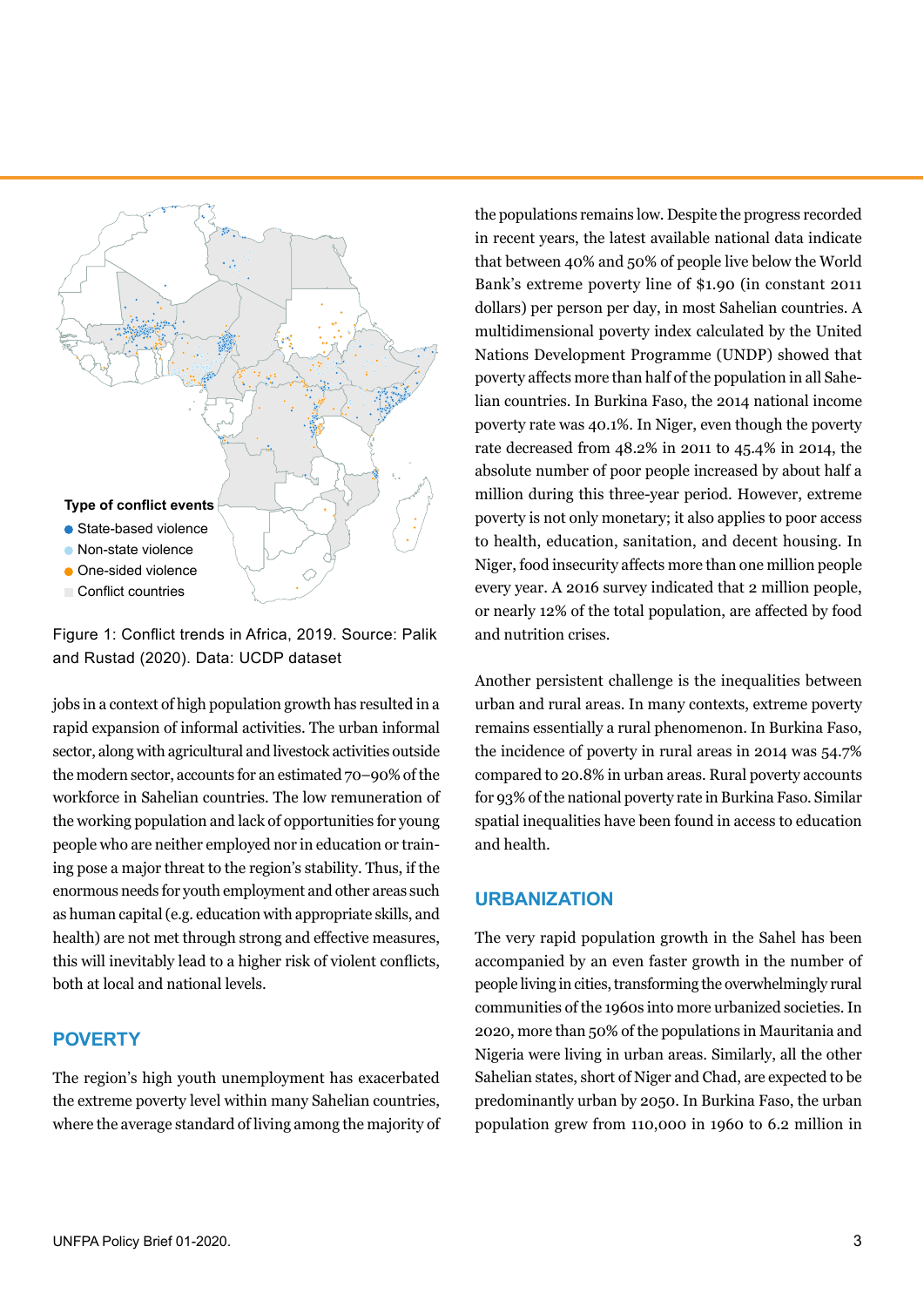

Figure 1: Conflict trends in Africa, 2019. Source: Palik and Rustad (2020). Data: UCDP dataset

jobs in a context of high population growth has resulted in a rapid expansion of informal activities. The urban informal sector, along with agricultural and livestock activities outside the modern sector, accounts for an estimated 70–90% of the workforce in Sahelian countries. The low remuneration of the working population and lack of opportunities for young people who are neither employed nor in education or training pose a major threat to the region's stability. Thus, if the enormous needs for youth employment and other areas such as human capital (e.g. education with appropriate skills, and health) are not met through strong and effective measures, this will inevitably lead to a higher risk of violent conflicts, both at local and national levels.

# **POVERTY**

The region's high youth unemployment has exacerbated the extreme poverty level within many Sahelian countries, where the average standard of living among the majority of the populations remains low. Despite the progress recorded in recent years, the latest available national data indicate that between 40% and 50% of people live below the World Bank's extreme poverty line of \$1.90 (in constant 2011 dollars) per person per day, in most Sahelian countries. A multidimensional poverty index calculated by the United Nations Development Programme (UNDP) showed that poverty affects more than half of the population in all Sahelian countries. In Burkina Faso, the 2014 national income poverty rate was 40.1%. In Niger, even though the poverty rate decreased from 48.2% in 2011 to 45.4% in 2014, the absolute number of poor people increased by about half a million during this three-year period. However, extreme poverty is not only monetary; it also applies to poor access to health, education, sanitation, and decent housing. In Niger, food insecurity affects more than one million people every year. A 2016 survey indicated that 2 million people, or nearly 12% of the total population, are affected by food and nutrition crises.

Another persistent challenge is the inequalities between urban and rural areas. In many contexts, extreme poverty remains essentially a rural phenomenon. In Burkina Faso, the incidence of poverty in rural areas in 2014 was 54.7% compared to 20.8% in urban areas. Rural poverty accounts for 93% of the national poverty rate in Burkina Faso. Similar spatial inequalities have been found in access to education and health.

#### **URBANIZATION**

The very rapid population growth in the Sahel has been accompanied by an even faster growth in the number of people living in cities, transforming the overwhelmingly rural communities of the 1960s into more urbanized societies. In 2020, more than 50% of the populations in Mauritania and Nigeria were living in urban areas. Similarly, all the other Sahelian states, short of Niger and Chad, are expected to be predominantly urban by 2050. In Burkina Faso, the urban population grew from 110,000 in 1960 to 6.2 million in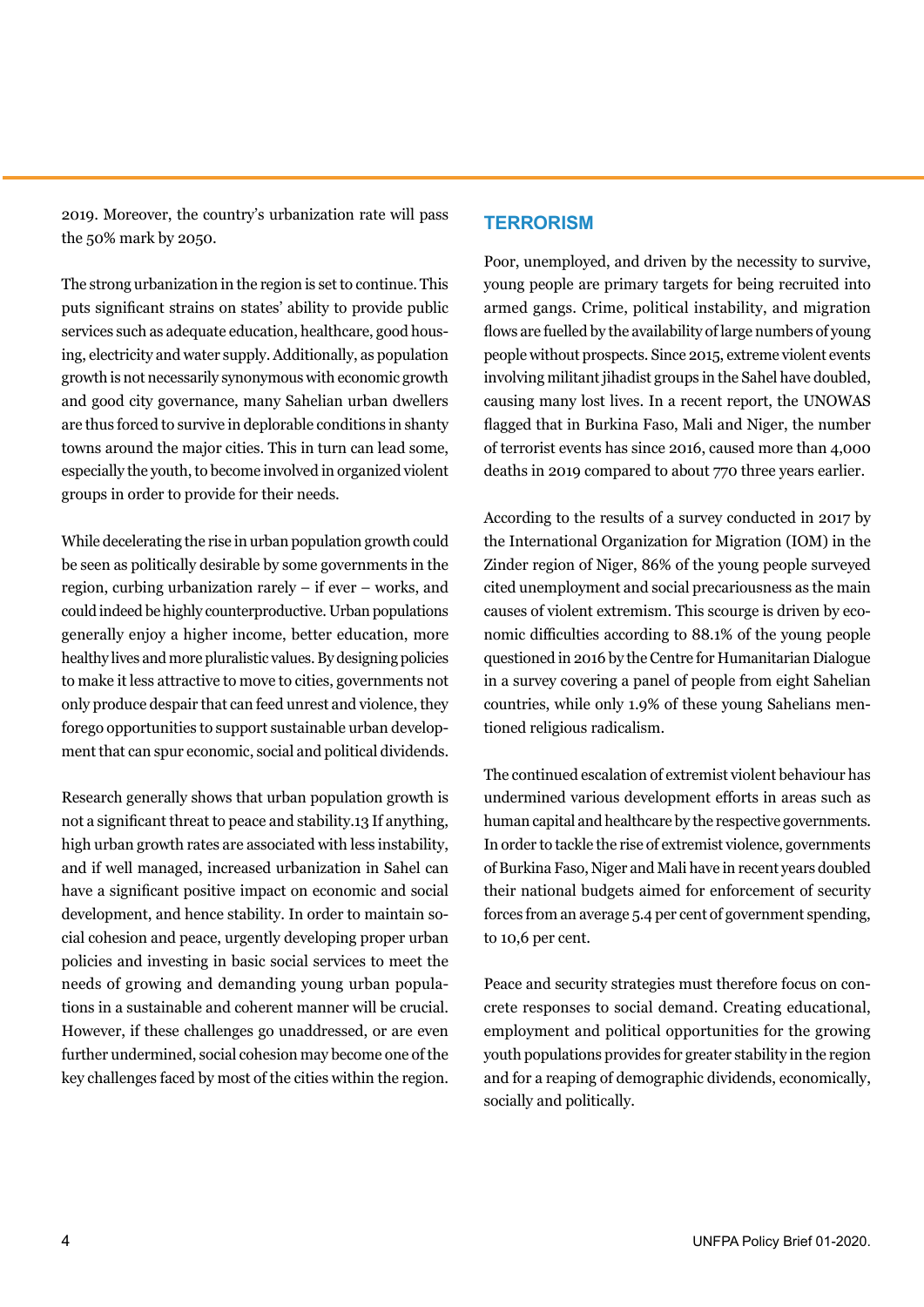2019. Moreover, the country's urbanization rate will pass the 50% mark by 2050.

#### **TERRORISM**

The strong urbanization in the region is set to continue. This puts significant strains on states' ability to provide public services such as adequate education, healthcare, good housing, electricity and water supply. Additionally, as population growth is not necessarily synonymous with economic growth and good city governance, many Sahelian urban dwellers are thus forced to survive in deplorable conditions in shanty towns around the major cities. This in turn can lead some, especially the youth, to become involved in organized violent groups in order to provide for their needs.

While decelerating the rise in urban population growth could be seen as politically desirable by some governments in the region, curbing urbanization rarely – if ever – works, and could indeed be highly counterproductive. Urban populations generally enjoy a higher income, better education, more healthy lives and more pluralistic values. By designing policies to make it less attractive to move to cities, governments not only produce despair that can feed unrest and violence, they forego opportunities to support sustainable urban development that can spur economic, social and political dividends.

Research generally shows that urban population growth is not a significant threat to peace and stability.13 If anything, high urban growth rates are associated with less instability, and if well managed, increased urbanization in Sahel can have a significant positive impact on economic and social development, and hence stability. In order to maintain social cohesion and peace, urgently developing proper urban policies and investing in basic social services to meet the needs of growing and demanding young urban populations in a sustainable and coherent manner will be crucial. However, if these challenges go unaddressed, or are even further undermined, social cohesion may become one of the key challenges faced by most of the cities within the region.

Poor, unemployed, and driven by the necessity to survive, young people are primary targets for being recruited into armed gangs. Crime, political instability, and migration flows are fuelled by the availability of large numbers of young people without prospects. Since 2015, extreme violent events involving militant jihadist groups in the Sahel have doubled, causing many lost lives. In a recent report, the UNOWAS flagged that in Burkina Faso, Mali and Niger, the number of terrorist events has since 2016, caused more than 4,000 deaths in 2019 compared to about 770 three years earlier.

According to the results of a survey conducted in 2017 by the International Organization for Migration (IOM) in the Zinder region of Niger, 86% of the young people surveyed cited unemployment and social precariousness as the main causes of violent extremism. This scourge is driven by economic difficulties according to 88.1% of the young people questioned in 2016 by the Centre for Humanitarian Dialogue in a survey covering a panel of people from eight Sahelian countries, while only 1.9% of these young Sahelians mentioned religious radicalism.

The continued escalation of extremist violent behaviour has undermined various development efforts in areas such as human capital and healthcare by the respective governments. In order to tackle the rise of extremist violence, governments of Burkina Faso, Niger and Mali have in recent years doubled their national budgets aimed for enforcement of security forces from an average 5.4 per cent of government spending, to 10,6 per cent.

Peace and security strategies must therefore focus on concrete responses to social demand. Creating educational, employment and political opportunities for the growing youth populations provides for greater stability in the region and for a reaping of demographic dividends, economically, socially and politically.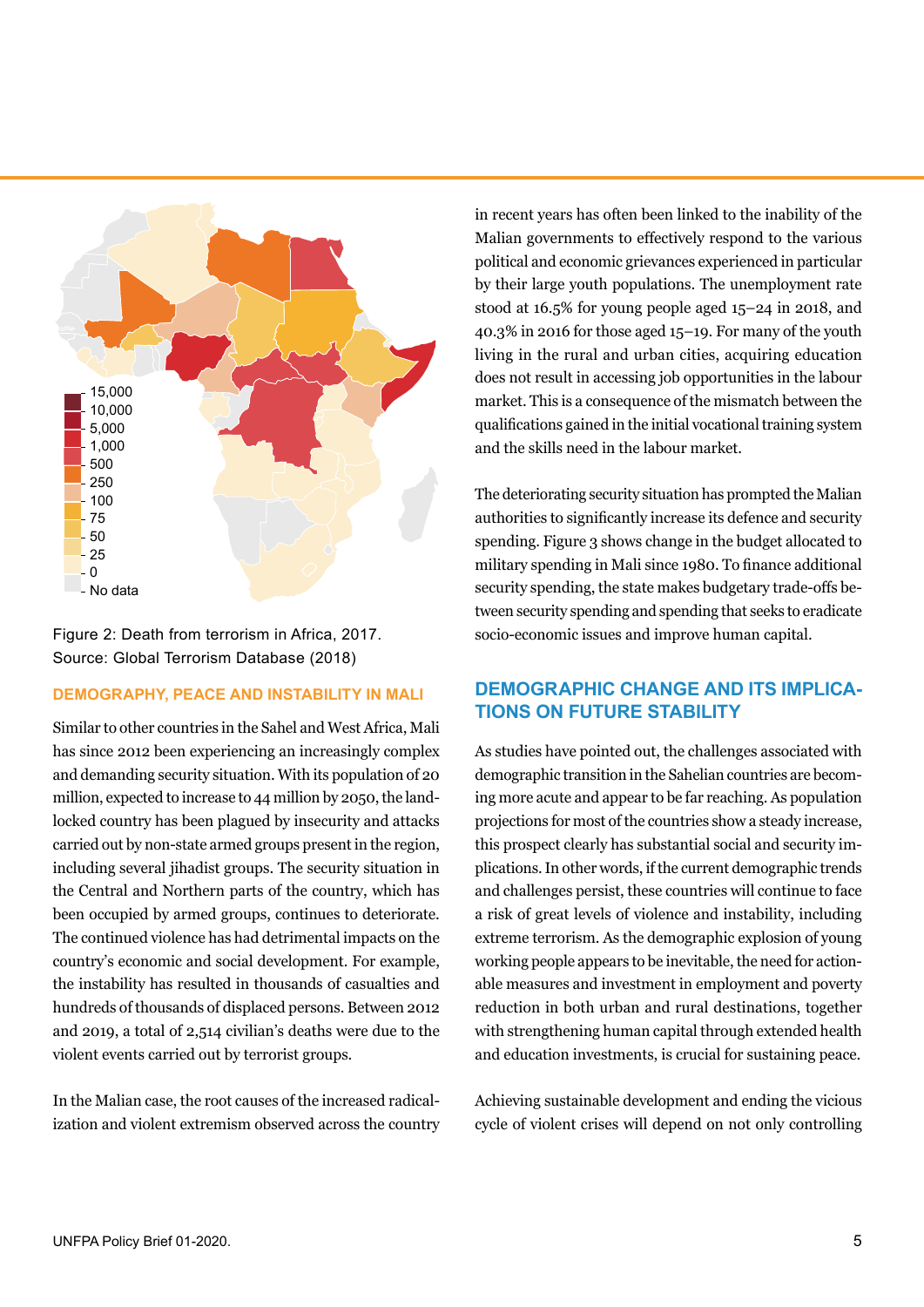

Figure 2: Death from terrorism in Africa, 2017. Source: Global Terrorism Database (2018)

#### **DEMOGRAPHY, PEACE AND INSTABILITY IN MALI**

Similar to other countries in the Sahel and West Africa, Mali has since 2012 been experiencing an increasingly complex and demanding security situation. With its population of 20 million, expected to increase to 44 million by 2050, the landlocked country has been plagued by insecurity and attacks carried out by non-state armed groups present in the region, including several jihadist groups. The security situation in the Central and Northern parts of the country, which has been occupied by armed groups, continues to deteriorate. The continued violence has had detrimental impacts on the country's economic and social development. For example, the instability has resulted in thousands of casualties and hundreds of thousands of displaced persons. Between 2012 and 2019, a total of 2,514 civilian's deaths were due to the violent events carried out by terrorist groups.

In the Malian case, the root causes of the increased radicalization and violent extremism observed across the country in recent years has often been linked to the inability of the Malian governments to effectively respond to the various political and economic grievances experienced in particular by their large youth populations. The unemployment rate stood at 16.5% for young people aged 15–24 in 2018, and 40.3% in 2016 for those aged 15–19. For many of the youth living in the rural and urban cities, acquiring education does not result in accessing job opportunities in the labour market. This is a consequence of the mismatch between the qualifications gained in the initial vocational training system and the skills need in the labour market.

The deteriorating security situation has prompted the Malian authorities to significantly increase its defence and security spending. Figure 3 shows change in the budget allocated to military spending in Mali since 1980. To finance additional security spending, the state makes budgetary trade-offs between security spending and spending that seeks to eradicate socio-economic issues and improve human capital.

# **DEMOGRAPHIC CHANGE AND ITS IMPLICA-TIONS ON FUTURE STABILITY**

As studies have pointed out, the challenges associated with demographic transition in the Sahelian countries are becoming more acute and appear to be far reaching. As population projections for most of the countries show a steady increase, this prospect clearly has substantial social and security implications. In other words, if the current demographic trends and challenges persist, these countries will continue to face a risk of great levels of violence and instability, including extreme terrorism. As the demographic explosion of young working people appears to be inevitable, the need for actionable measures and investment in employment and poverty reduction in both urban and rural destinations, together with strengthening human capital through extended health and education investments, is crucial for sustaining peace.

Achieving sustainable development and ending the vicious cycle of violent crises will depend on not only controlling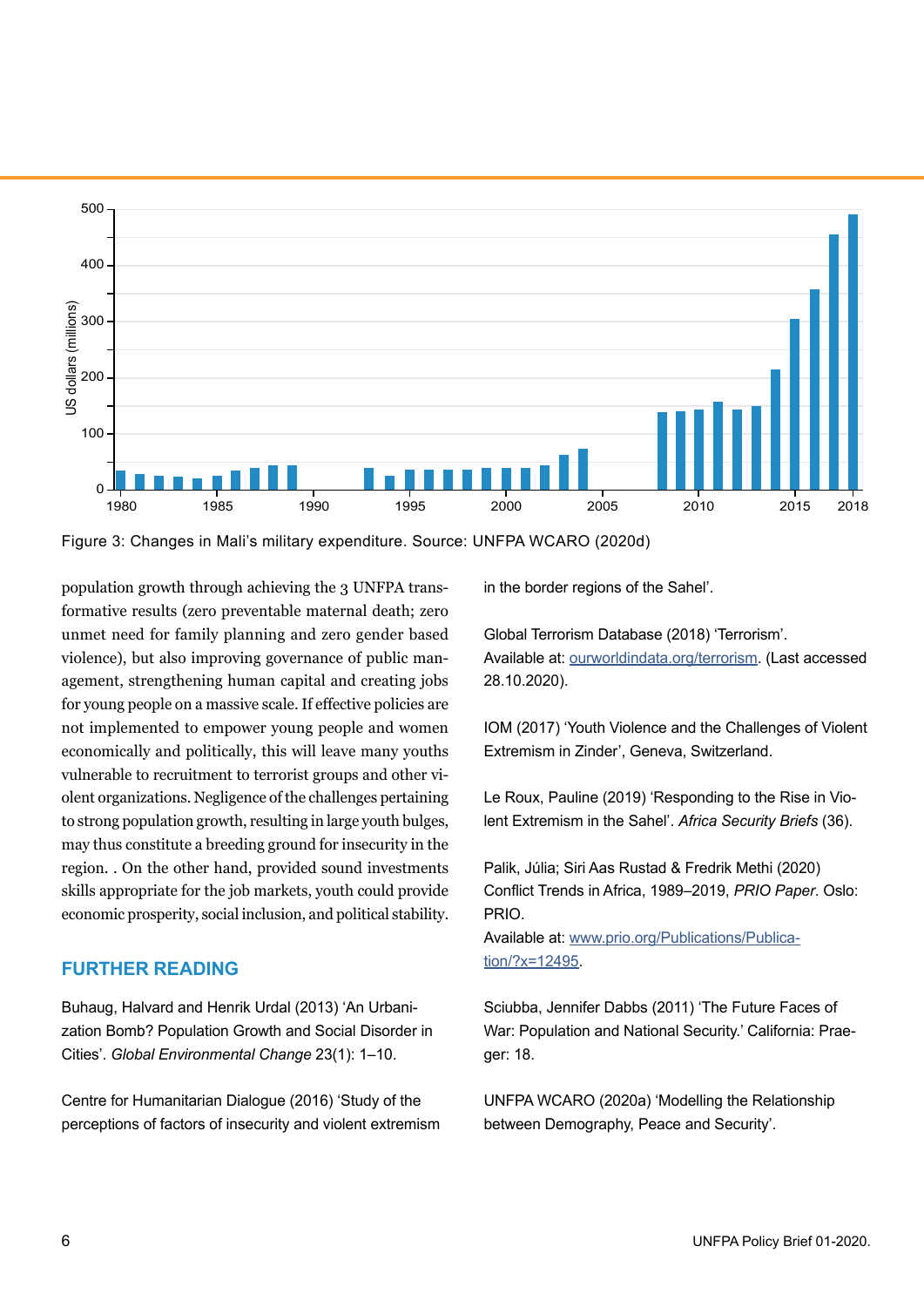

Figure 3: Changes in Mali's military expenditure. Source: UNFPA WCARO (2020d)

population growth through achieving the 3 UNFPA transformative results (zero preventable maternal death; zero unmet need for family planning and zero gender based violence), but also improving governance of public management, strengthening human capital and creating jobs for young people on a massive scale. If effective policies are not implemented to empower young people and women economically and politically, this will leave many youths vulnerable to recruitment to terrorist groups and other violent organizations. Negligence of the challenges pertaining to strong population growth, resulting in large youth bulges, may thus constitute a breeding ground for insecurity in the region. . On the other hand, provided sound investments skills appropriate for the job markets, youth could provide economic prosperity, social inclusion, and political stability.

#### **FURTHER READING**

Buhaug, Halvard and Henrik Urdal (2013) 'An Urbanization Bomb? Population Growth and Social Disorder in Cities'. *Global Environmental Change* 23(1): 1–10.

Centre for Humanitarian Dialogue (2016) 'Study of the perceptions of factors of insecurity and violent extremism in the border regions of the Sahel'.

Global Terrorism Database (2018) 'Terrorism'. Available at: [ourworldindata.org/terrorism](https://ourworldindata.org/terrorism). (Last accessed 28.10.2020).

IOM (2017) 'Youth Violence and the Challenges of Violent Extremism in Zinder', Geneva, Switzerland.

Le Roux, Pauline (2019) 'Responding to the Rise in Violent Extremism in the Sahel'. *Africa Security Briefs* (36).

Palik, Júlia; Siri Aas Rustad & Fredrik Methi (2020) Conflict Trends in Africa, 1989–2019, *PRIO Paper*. Oslo: PRIO.

Available at: [www.prio.org/Publications/Publica](https://www.prio.org/Publications/Publication/?x=12495)[tion/?x=12495](https://www.prio.org/Publications/Publication/?x=12495).

Sciubba, Jennifer Dabbs (2011) 'The Future Faces of War: Population and National Security.' California: Praeger: 18.

UNFPA WCARO (2020a) 'Modelling the Relationship between Demography, Peace and Security'.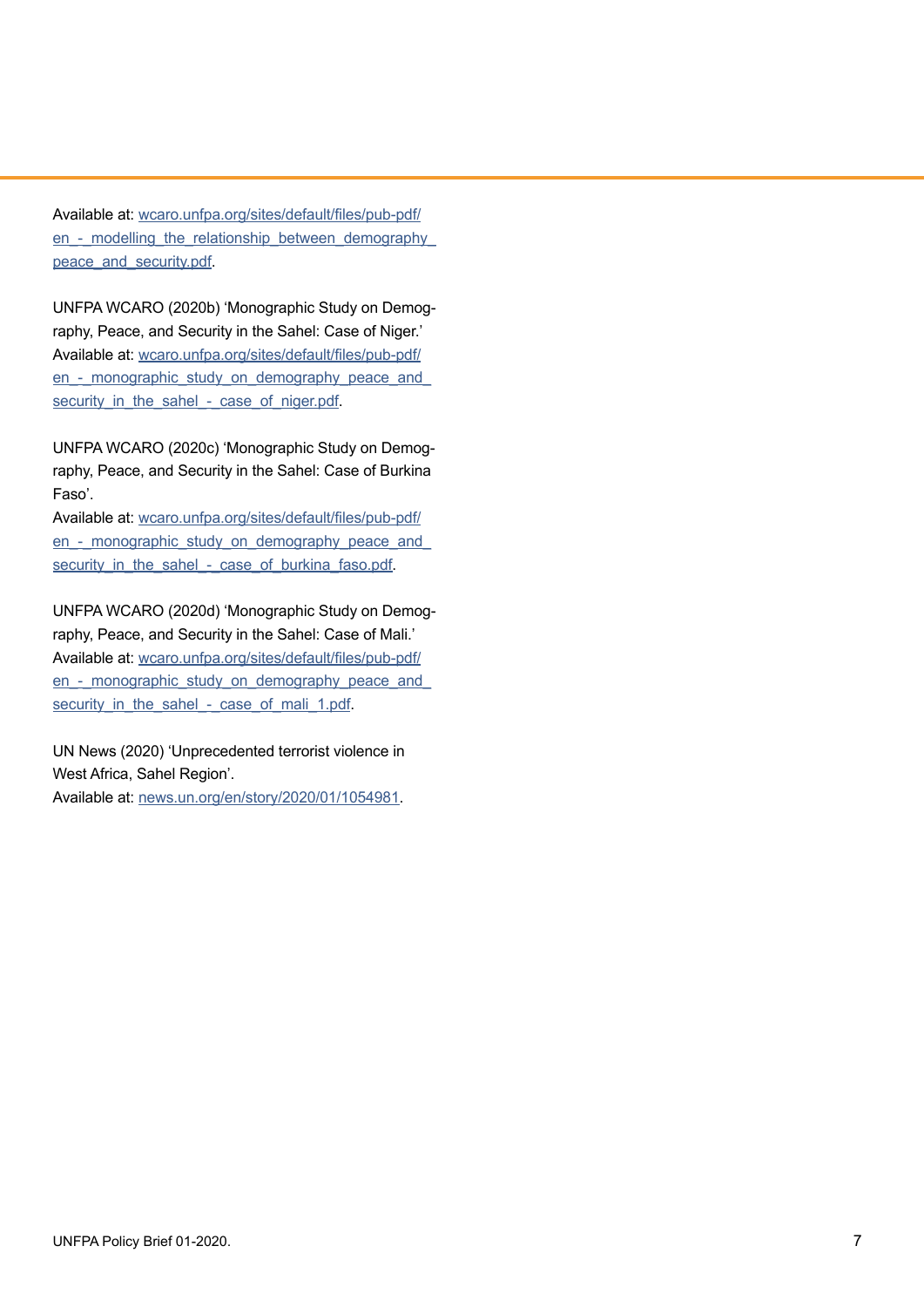Available at: [wcaro.unfpa.org/sites/default/files/pub-pdf/](https://wcaro.unfpa.org/sites/default/files/pub-pdf/en_-_modelling_the_relationship_between_demography_peace_and_security.pdf) en - modelling the relationship between demography [peace\\_and\\_security.pdf](https://wcaro.unfpa.org/sites/default/files/pub-pdf/en_-_modelling_the_relationship_between_demography_peace_and_security.pdf).

UNFPA WCARO (2020b) 'Monographic Study on Demography, Peace, and Security in the Sahel: Case of Niger.' Available at: [wcaro.unfpa.org/sites/default/files/pub-pdf/](https://wcaro.unfpa.org/sites/default/files/pub-pdf/en_-_monographic_study_on_demography_peace_and_security_in_the_sahel_-_case_of_niger.pdf) en - monographic study on demography peace and security in the sahel - case of niger.pdf.

UNFPA WCARO (2020c) 'Monographic Study on Demography, Peace, and Security in the Sahel: Case of Burkina Faso'.

Available at: [wcaro.unfpa.org/sites/default/files/pub-pdf/](https://wcaro.unfpa.org/sites/default/files/pub-pdf/en_-_monographic_study_on_demography_peace_and_security_in_the_sahel_-_case_of_burkina_faso.pdf) en - monographic study on demography peace and security in the sahel - case of burkina faso.pdf.

UNFPA WCARO (2020d) 'Monographic Study on Demography, Peace, and Security in the Sahel: Case of Mali.' Available at: [wcaro.unfpa.org/sites/default/files/pub-pdf/](https://wcaro.unfpa.org/sites/default/files/pub-pdf/en_-_monographic_study_on_demography_peace_and_security_in_the_sahel_-_case_of_mali_1.pdf) en - monographic study on demography peace and security in the sahel - case of mali 1.pdf.

UN News (2020) 'Unprecedented terrorist violence in West Africa, Sahel Region'.

Available at: [news.un.org/en/story/2020/01/1054981](https://news.un.org/en/story/2020/01/1054981).